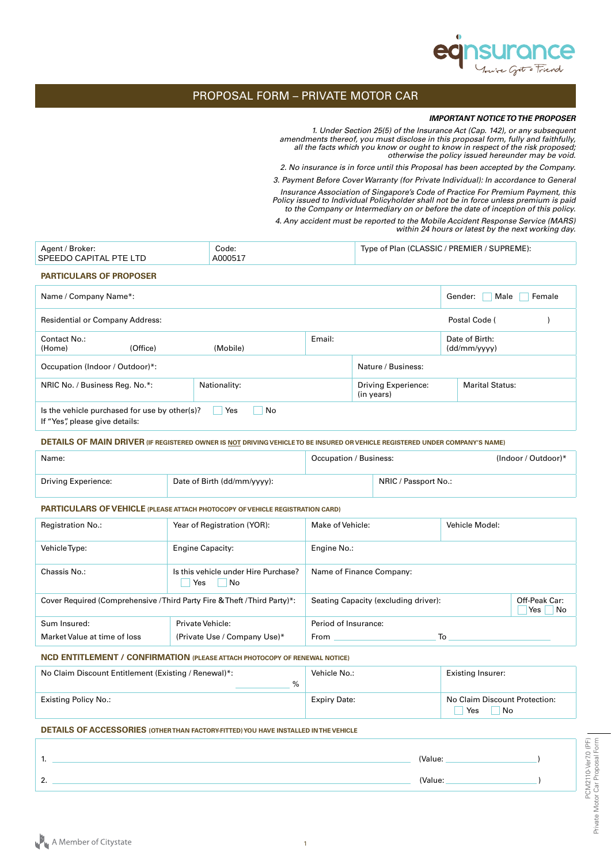

# PROPOSAL FORM – PRIVATE MOTOR CAR

#### *IMPORTANT NOTICE TO THE PROPOSER*

*1. Under Section 25(5) of the Insurance Act (Cap. 142), or any subsequent amendments thereof, you must disclose in this proposal form, fully and faithfully, all the facts which you know or ought to know in respect of the risk proposed; otherwise the policy issued hereunder may be void.*

*2. No insurance is in force until this Proposal has been accepted by the Company.*

*3. Payment Before Cover Warranty (for Private Individual): In accordance to General* 

*Insurance Association of Singapore's Code of Practice For Premium Payment, this Policy issued to Individual Policyholder shall not be in force unless premium is paid to the Company or Intermediary on or before the date of inception of this policy.*

*4. Any accident must be reported to the Mobile Accident Response Service (MARS) within 24 hours or latest by the next working day.*

| Agent / Broker:<br>SPEEDO CAPITAL PTE LTD | Code:<br>A000517                                           |        | Type of Plan (CLASSIC / PREMIER / SUPREME): |                                |
|-------------------------------------------|------------------------------------------------------------|--------|---------------------------------------------|--------------------------------|
| <b>PARTICULARS OF PROPOSER</b>            |                                                            |        |                                             |                                |
| Name / Company Name*:                     |                                                            |        |                                             | Gender:<br>Male<br>Female      |
| <b>Residential or Company Address:</b>    |                                                            |        |                                             | Postal Code (                  |
| Contact No.:<br>(Office)<br>(Home)        | (Mobile)                                                   | Email: |                                             | Date of Birth:<br>(dd/mm/vvvv) |
| Occupation (Indoor / Outdoor)*:           |                                                            |        | Nature / Business:                          |                                |
| NRIC No. / Business Reg. No.*:            | Nationality:                                               |        | <b>Driving Experience:</b><br>(in years)    | <b>Marital Status:</b>         |
| If "Yes", please give details:            | No<br>Is the vehicle purchased for use by other(s)?<br>Yes |        |                                             |                                |

**DETAILS OF MAIN DRIVER (IF REGISTERED OWNER IS NOT DRIVING VEHICLE TO BE INSURED OR VEHICLE REGISTERED UNDER COMPANY'S NAME)**

| Name:                      |                             | Occupation / Business: |                      | $(Indoor / Outdoor)^*$ |
|----------------------------|-----------------------------|------------------------|----------------------|------------------------|
| <b>Driving Experience:</b> | Date of Birth (dd/mm/yyyy): |                        | NRIC / Passport No.: |                        |

#### **PARTICULARS OF VEHICLE (PLEASE ATTACH PHOTOCOPY OF VEHICLE REGISTRATION CARD)**

| <b>Registration No.:</b>     | Year of Registration (YOR):                                               | Make of Vehicle:                     | Vehicle Model: |                                        |
|------------------------------|---------------------------------------------------------------------------|--------------------------------------|----------------|----------------------------------------|
| Vehicle Type:                | <b>Engine Capacity:</b>                                                   | Engine No.:                          |                |                                        |
| Chassis No.:                 | Is this vehicle under Hire Purchase?<br>Yes<br>No.                        | Name of Finance Company:             |                |                                        |
|                              | Cover Required (Comprehensive / Third Party Fire & Theft / Third Party)*: | Seating Capacity (excluding driver): |                | Off-Peak Car:<br>N <sub>o</sub><br>Yes |
| Sum Insured:                 | Private Vehicle:                                                          | Period of Insurance:                 |                |                                        |
| Market Value at time of loss | (Private Use / Company Use)*                                              | From                                 | To             |                                        |

### **NCD ENTITLEMENT / CONFIRMATION (PLEASE ATTACH PHOTOCOPY OF RENEWAL NOTICE)**

| No Claim Discount Entitlement (Existing / Renewal)*:<br>$\%$ | Vehicle No.:        | <b>Existing Insurer:</b>                   |
|--------------------------------------------------------------|---------------------|--------------------------------------------|
| Existing Policy No.:                                         | <b>Expiry Date:</b> | No Claim Discount Protection:<br>Yes<br>No |

## **DETAILS OF ACCESSORIES (OTHER THAN FACTORY-FITTED) YOU HAVE INSTALLED IN THE VEHICLE**

| .        | (Value: |  |
|----------|---------|--|
| ◠<br>. . | (Value: |  |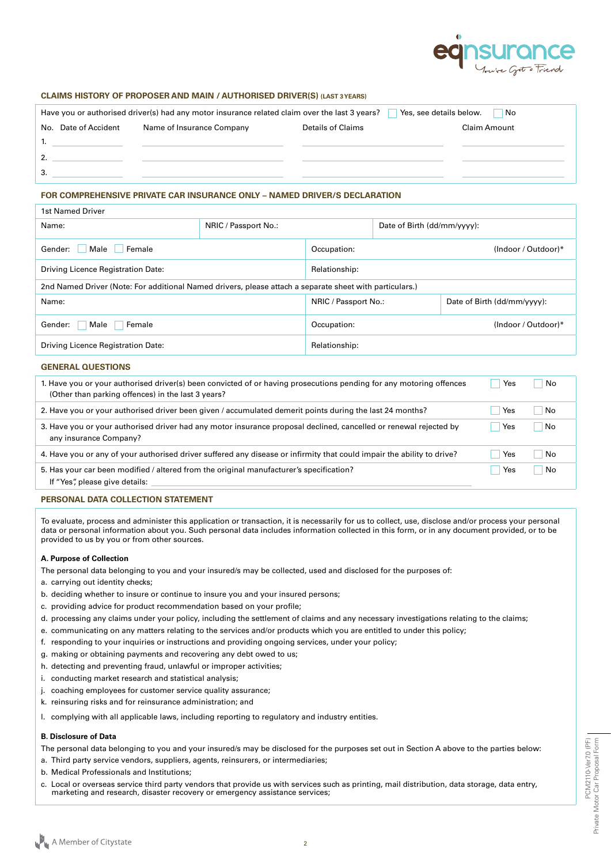

## **CLAIMS HISTORY OF PROPOSER AND MAIN / AUTHORISED DRIVER(S) (LAST 3 YEARS)**

| Yes, see details below.<br>Have you or authorised driver(s) had any motor insurance related claim over the last 3 years?<br>No. |                      |                           |  |                   |                     |
|---------------------------------------------------------------------------------------------------------------------------------|----------------------|---------------------------|--|-------------------|---------------------|
|                                                                                                                                 | No. Date of Accident | Name of Insurance Company |  | Details of Claims | <b>Claim Amount</b> |
|                                                                                                                                 |                      | $\mathbf{1}$              |  |                   |                     |
| 2.                                                                                                                              |                      |                           |  |                   |                     |
| 3.                                                                                                                              |                      |                           |  |                   |                     |
|                                                                                                                                 |                      |                           |  |                   |                     |

# **FOR COMPREHENSIVE PRIVATE CAR INSURANCE ONLY – NAMED DRIVER/S DECLARATION**

| Name:                                                                                                   | NRIC / Passport No.: |                      | Date of Birth (dd/mm/yyyy): |                             |
|---------------------------------------------------------------------------------------------------------|----------------------|----------------------|-----------------------------|-----------------------------|
| Male<br>Gender:<br>Female                                                                               |                      | Occupation:          |                             | (Indoor / Outdoor) $*$      |
| Driving Licence Registration Date:                                                                      |                      | Relationship:        |                             |                             |
| 2nd Named Driver (Note: For additional Named drivers, please attach a separate sheet with particulars.) |                      |                      |                             |                             |
| Name:                                                                                                   |                      | NRIC / Passport No.: |                             | Date of Birth (dd/mm/yyyy): |
| Male<br>Gender:<br>Female                                                                               |                      | Occupation:          |                             | (Indoor / Outdoor) $*$      |
| Driving Licence Registration Date:                                                                      |                      | Relationship:        |                             |                             |

# **GENERAL QUESTIONS**

| 1. Have you or your authorised driver(s) been convicted of or having prosecutions pending for any motoring offences<br>(Other than parking offences) in the last 3 years? | Yes | No |
|---------------------------------------------------------------------------------------------------------------------------------------------------------------------------|-----|----|
| 2. Have you or your authorised driver been given / accumulated demerit points during the last 24 months?                                                                  | Yes | No |
| 3. Have you or your authorised driver had any motor insurance proposal declined, cancelled or renewal rejected by<br>any insurance Company?                               | Yes | No |
| 4. Have you or any of your authorised driver suffered any disease or infirmity that could impair the ability to drive?                                                    | Yes | No |
| 5. Has your car been modified / altered from the original manufacturer's specification?<br>If "Yes", please give details:                                                 | Yes | Nο |

## **PERSONAL DATA COLLECTION STATEMENT**

To evaluate, process and administer this application or transaction, it is necessarily for us to collect, use, disclose and/or process your personal data or personal information about you. Such personal data includes information collected in this form, or in any document provided, or to be provided to us by you or from other sources.

#### **A. Purpose of Collection**

- The personal data belonging to you and your insured/s may be collected, used and disclosed for the purposes of:
- a. carrying out identity checks;
- b. deciding whether to insure or continue to insure you and your insured persons;
- c. providing advice for product recommendation based on your profile;
- d. processing any claims under your policy, including the settlement of claims and any necessary investigations relating to the claims;
- e. communicating on any matters relating to the services and/or products which you are entitled to under this policy;
- f. responding to your inquiries or instructions and providing ongoing services, under your policy;
- g. making or obtaining payments and recovering any debt owed to us;
- h. detecting and preventing fraud, unlawful or improper activities;
- i. conducting market research and statistical analysis;
- j. coaching employees for customer service quality assurance;
- k. reinsuring risks and for reinsurance administration; and
- l. complying with all applicable laws, including reporting to regulatory and industry entities.

# **B. Disclosure of Data**

The personal data belonging to you and your insured/s may be disclosed for the purposes set out in Section A above to the parties below:

- a. Third party service vendors, suppliers, agents, reinsurers, or intermediaries;
- b. Medical Professionals and Institutions;
- c. Local or overseas service third party vendors that provide us with services such as printing, mail distribution, data storage, data entry, marketing and research, disaster recovery or emergency assistance services;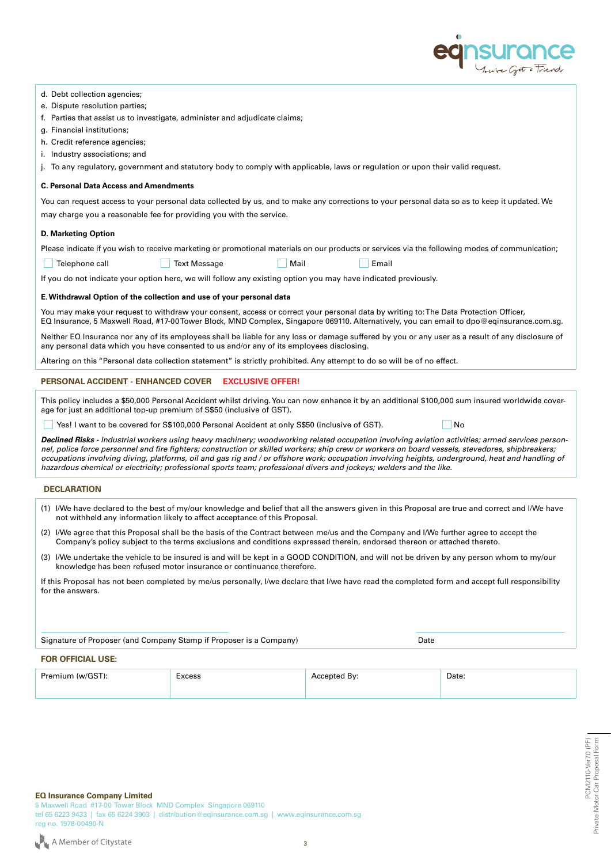

| d. Debt collection agencies; |  |
|------------------------------|--|
|------------------------------|--|

- e. Dispute resolution parties;
- f. Parties that assist us to investigate, administer and adjudicate claims;
- g. Financial institutions;
- h. Credit reference agencies;
- i. Industry associations; and
- j. To any regulatory, government and statutory body to comply with applicable, laws or regulation or upon their valid request.

#### **C. Personal Data Access and Amendments**

You can request access to your personal data collected by us, and to make any corrections to your personal data so as to keep it updated. We may charge you a reasonable fee for providing you with the service.

#### **D. Marketing Option**

Please indicate if you wish to receive marketing or promotional materials on our products or services via the following modes of communication;

Telephone call **Text Message Mail All Email Email** Email Email

| Mail<br>$\sim$ |  |
|----------------|--|
|                |  |

If you do not indicate your option here, we will follow any existing option you may have indicated previously.

#### **E. Withdrawal Option of the collection and use of your personal data**

You may make your request to withdraw your consent, access or correct your personal data by writing to: The Data Protection Officer, EQ Insurance, 5 Maxwell Road, #17-00 Tower Block, MND Complex, Singapore 069110. Alternatively, you can email to dpo@eqinsurance.com.sg.

Neither EQ Insurance nor any of its employees shall be liable for any loss or damage suffered by you or any user as a result of any disclosure of any personal data which you have consented to us and/or any of its employees disclosing.

Altering on this "Personal data collection statement" is strictly prohibited. Any attempt to do so will be of no effect.

### **PERSONAL ACCIDENT - ENHANCED COVER EXCLUSIVE OFFER!**

This policy includes a \$50,000 Personal Accident whilst driving. You can now enhance it by an additional \$100,000 sum insured worldwide coverage for just an additional top-up premium of S\$50 (inclusive of GST).

■ Yes! I want to be covered for S\$100,000 Personal Accident at only S\$50 (inclusive of GST). ■ No

| Declined Risks - Industrial workers using heavy machinery; woodworking related occupation involving aviation activities; armed services person-  |
|--------------------------------------------------------------------------------------------------------------------------------------------------|
| nel, police force personnel and fire fighters; construction or skilled workers; ship crew or workers on board vessels, stevedores, shipbreakers; |
| occupations involving diving, platforms, oil and gas rig and / or offshore work; occupation involving heights, underground, heat and handling of |
| hazardous chemical or electricity; professional sports team; professional divers and jockeys; welders and the like.                              |

# **DECLARATION**

- (1) I/We have declared to the best of my/our knowledge and belief that all the answers given in this Proposal are true and correct and I/We have not withheld any information likely to affect acceptance of this Proposal.
- (2) I/We agree that this Proposal shall be the basis of the Contract between me/us and the Company and I/We further agree to accept the Company's policy subject to the terms exclusions and conditions expressed therein, endorsed thereon or attached thereto.
- (3) I/We undertake the vehicle to be insured is and will be kept in a GOOD CONDITION, and will not be driven by any person whom to my/our knowledge has been refused motor insurance or continuance therefore.

If this Proposal has not been completed by me/us personally, I/we declare that I/we have read the completed form and accept full responsibility for the answers.

Signature of Proposer (and Company Stamp if Proposer is a Company) Date

## **FOR OFFICIAL USE:**

| Premium (w/GST): | xcess<br>. | . Bv:<br>۱τρι | Date: |
|------------------|------------|---------------|-------|
|                  |            |               |       |

5 Maxwell Road #17-00 Tower Block MND Complex Singapore 069110 tel 65 6223 9433 | fax 65 6224 3903 | distribution@eqinsurance.com.sg | www.eqinsurance.com.sg reg no. 1978-00490-N